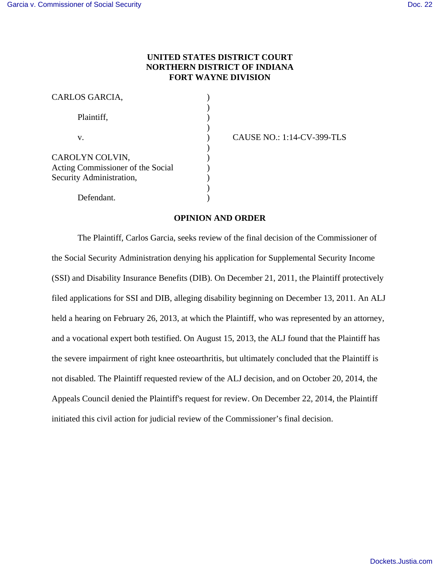# **UNITED STATES DISTRICT COURT NORTHERN DISTRICT OF INDIANA FORT WAYNE DIVISION**

| CARLOS GARCIA,                                       |  |
|------------------------------------------------------|--|
| Plaintiff,                                           |  |
| V.                                                   |  |
| CAROLYN COLVIN,<br>Acting Commissioner of the Social |  |
| Security Administration,<br>Defendant.               |  |

CAUSE NO.: 1:14-CV-399-TLS

## **OPINION AND ORDER**

The Plaintiff, Carlos Garcia, seeks review of the final decision of the Commissioner of the Social Security Administration denying his application for Supplemental Security Income (SSI) and Disability Insurance Benefits (DIB). On December 21, 2011, the Plaintiff protectively filed applications for SSI and DIB, alleging disability beginning on December 13, 2011. An ALJ held a hearing on February 26, 2013, at which the Plaintiff, who was represented by an attorney, and a vocational expert both testified. On August 15, 2013, the ALJ found that the Plaintiff has the severe impairment of right knee osteoarthritis, but ultimately concluded that the Plaintiff is not disabled. The Plaintiff requested review of the ALJ decision, and on October 20, 2014, the Appeals Council denied the Plaintiff's request for review. On December 22, 2014, the Plaintiff initiated this civil action for judicial review of the Commissioner's final decision.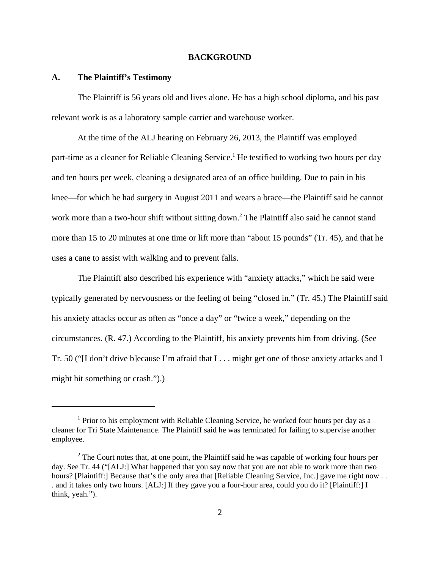### **BACKGROUND**

### **A. The Plaintiff's Testimony**

The Plaintiff is 56 years old and lives alone. He has a high school diploma, and his past relevant work is as a laboratory sample carrier and warehouse worker.

At the time of the ALJ hearing on February 26, 2013, the Plaintiff was employed part-time as a cleaner for Reliable Cleaning Service.<sup>1</sup> He testified to working two hours per day and ten hours per week, cleaning a designated area of an office building. Due to pain in his knee—for which he had surgery in August 2011 and wears a brace—the Plaintiff said he cannot work more than a two-hour shift without sitting down.<sup>2</sup> The Plaintiff also said he cannot stand more than 15 to 20 minutes at one time or lift more than "about 15 pounds" (Tr. 45), and that he uses a cane to assist with walking and to prevent falls.

The Plaintiff also described his experience with "anxiety attacks," which he said were typically generated by nervousness or the feeling of being "closed in." (Tr. 45.) The Plaintiff said his anxiety attacks occur as often as "once a day" or "twice a week," depending on the circumstances. (R. 47.) According to the Plaintiff, his anxiety prevents him from driving. (See Tr. 50 ("[I don't drive b]ecause I'm afraid that I . . . might get one of those anxiety attacks and I might hit something or crash.").)

<sup>&</sup>lt;sup>1</sup> Prior to his employment with Reliable Cleaning Service, he worked four hours per day as a cleaner for Tri State Maintenance. The Plaintiff said he was terminated for failing to supervise another employee.

 $2^2$  The Court notes that, at one point, the Plaintiff said he was capable of working four hours per day. See Tr. 44 ("[ALJ:] What happened that you say now that you are not able to work more than two hours? [Plaintiff:] Because that's the only area that [Reliable Cleaning Service, Inc.] gave me right now ... . and it takes only two hours. [ALJ:] If they gave you a four-hour area, could you do it? [Plaintiff:] I think, yeah.").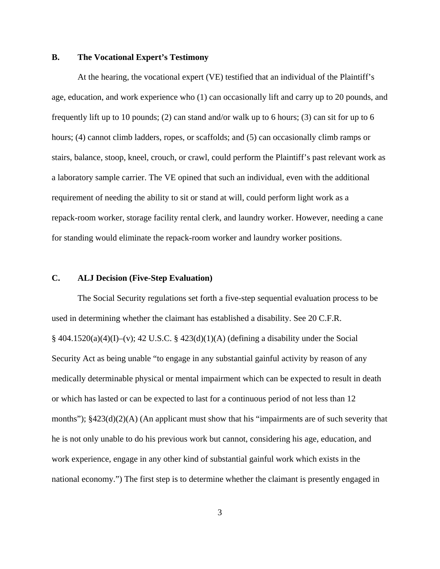## **B. The Vocational Expert's Testimony**

At the hearing, the vocational expert (VE) testified that an individual of the Plaintiff's age, education, and work experience who (1) can occasionally lift and carry up to 20 pounds, and frequently lift up to 10 pounds; (2) can stand and/or walk up to 6 hours; (3) can sit for up to 6 hours; (4) cannot climb ladders, ropes, or scaffolds; and (5) can occasionally climb ramps or stairs, balance, stoop, kneel, crouch, or crawl, could perform the Plaintiff's past relevant work as a laboratory sample carrier. The VE opined that such an individual, even with the additional requirement of needing the ability to sit or stand at will, could perform light work as a repack-room worker, storage facility rental clerk, and laundry worker. However, needing a cane for standing would eliminate the repack-room worker and laundry worker positions.

# **C. ALJ Decision (Five-Step Evaluation)**

The Social Security regulations set forth a five-step sequential evaluation process to be used in determining whether the claimant has established a disability. See 20 C.F.R.  $§$  404.1520(a)(4)(I)–(v); 42 U.S.C. § 423(d)(1)(A) (defining a disability under the Social Security Act as being unable "to engage in any substantial gainful activity by reason of any medically determinable physical or mental impairment which can be expected to result in death or which has lasted or can be expected to last for a continuous period of not less than 12 months");  $§423(d)(2)(A)$  (An applicant must show that his "impairments are of such severity that he is not only unable to do his previous work but cannot, considering his age, education, and work experience, engage in any other kind of substantial gainful work which exists in the national economy.") The first step is to determine whether the claimant is presently engaged in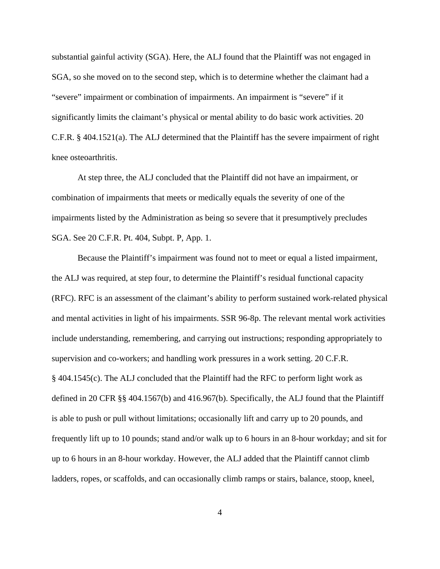substantial gainful activity (SGA). Here, the ALJ found that the Plaintiff was not engaged in SGA, so she moved on to the second step, which is to determine whether the claimant had a "severe" impairment or combination of impairments. An impairment is "severe" if it significantly limits the claimant's physical or mental ability to do basic work activities. 20 C.F.R. § 404.1521(a). The ALJ determined that the Plaintiff has the severe impairment of right knee osteoarthritis.

At step three, the ALJ concluded that the Plaintiff did not have an impairment, or combination of impairments that meets or medically equals the severity of one of the impairments listed by the Administration as being so severe that it presumptively precludes SGA. See 20 C.F.R. Pt. 404, Subpt. P, App. 1.

Because the Plaintiff's impairment was found not to meet or equal a listed impairment, the ALJ was required, at step four, to determine the Plaintiff's residual functional capacity (RFC). RFC is an assessment of the claimant's ability to perform sustained work-related physical and mental activities in light of his impairments. SSR 96-8p. The relevant mental work activities include understanding, remembering, and carrying out instructions; responding appropriately to supervision and co-workers; and handling work pressures in a work setting. 20 C.F.R. § 404.1545(c). The ALJ concluded that the Plaintiff had the RFC to perform light work as defined in 20 CFR §§ 404.1567(b) and 416.967(b). Specifically, the ALJ found that the Plaintiff is able to push or pull without limitations; occasionally lift and carry up to 20 pounds, and frequently lift up to 10 pounds; stand and/or walk up to 6 hours in an 8-hour workday; and sit for up to 6 hours in an 8-hour workday. However, the ALJ added that the Plaintiff cannot climb ladders, ropes, or scaffolds, and can occasionally climb ramps or stairs, balance, stoop, kneel,

4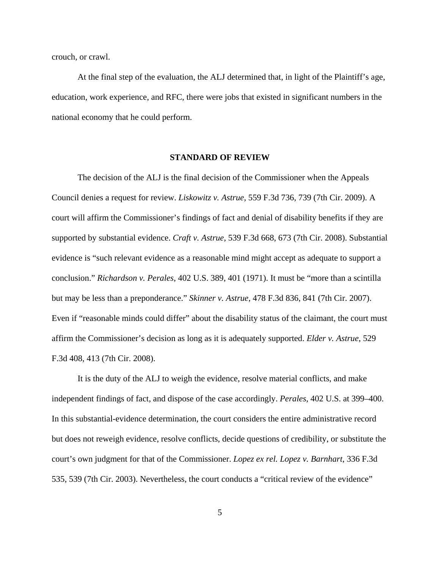crouch, or crawl.

At the final step of the evaluation, the ALJ determined that, in light of the Plaintiff's age, education, work experience, and RFC, there were jobs that existed in significant numbers in the national economy that he could perform.

### **STANDARD OF REVIEW**

The decision of the ALJ is the final decision of the Commissioner when the Appeals Council denies a request for review. *Liskowitz v. Astrue*, 559 F.3d 736, 739 (7th Cir. 2009). A court will affirm the Commissioner's findings of fact and denial of disability benefits if they are supported by substantial evidence. *Craft v. Astrue*, 539 F.3d 668, 673 (7th Cir. 2008). Substantial evidence is "such relevant evidence as a reasonable mind might accept as adequate to support a conclusion." *Richardson v. Perales*, 402 U.S. 389, 401 (1971). It must be "more than a scintilla but may be less than a preponderance." *Skinner v. Astrue*, 478 F.3d 836, 841 (7th Cir. 2007). Even if "reasonable minds could differ" about the disability status of the claimant, the court must affirm the Commissioner's decision as long as it is adequately supported. *Elder v. Astrue*, 529 F.3d 408, 413 (7th Cir. 2008).

It is the duty of the ALJ to weigh the evidence, resolve material conflicts, and make independent findings of fact, and dispose of the case accordingly. *Perales*, 402 U.S. at 399–400. In this substantial-evidence determination, the court considers the entire administrative record but does not reweigh evidence, resolve conflicts, decide questions of credibility, or substitute the court's own judgment for that of the Commissioner. *Lopez ex rel. Lopez v. Barnhart*, 336 F.3d 535, 539 (7th Cir. 2003). Nevertheless, the court conducts a "critical review of the evidence"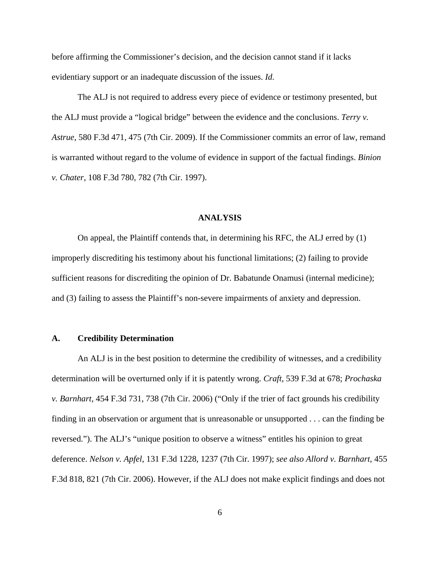before affirming the Commissioner's decision, and the decision cannot stand if it lacks evidentiary support or an inadequate discussion of the issues. *Id.*

The ALJ is not required to address every piece of evidence or testimony presented, but the ALJ must provide a "logical bridge" between the evidence and the conclusions. *Terry v. Astrue*, 580 F.3d 471, 475 (7th Cir. 2009). If the Commissioner commits an error of law, remand is warranted without regard to the volume of evidence in support of the factual findings. *Binion v. Chater*, 108 F.3d 780, 782 (7th Cir. 1997).

### **ANALYSIS**

On appeal, the Plaintiff contends that, in determining his RFC, the ALJ erred by (1) improperly discrediting his testimony about his functional limitations; (2) failing to provide sufficient reasons for discrediting the opinion of Dr. Babatunde Onamusi (internal medicine); and (3) failing to assess the Plaintiff's non-severe impairments of anxiety and depression.

## **A. Credibility Determination**

An ALJ is in the best position to determine the credibility of witnesses, and a credibility determination will be overturned only if it is patently wrong. *Craft*, 539 F.3d at 678; *Prochaska v. Barnhart*, 454 F.3d 731, 738 (7th Cir. 2006) ("Only if the trier of fact grounds his credibility finding in an observation or argument that is unreasonable or unsupported . . . can the finding be reversed."). The ALJ's "unique position to observe a witness" entitles his opinion to great deference. *Nelson v. Apfel*, 131 F.3d 1228, 1237 (7th Cir. 1997); *see also Allord v. Barnhart*, 455 F.3d 818, 821 (7th Cir. 2006). However, if the ALJ does not make explicit findings and does not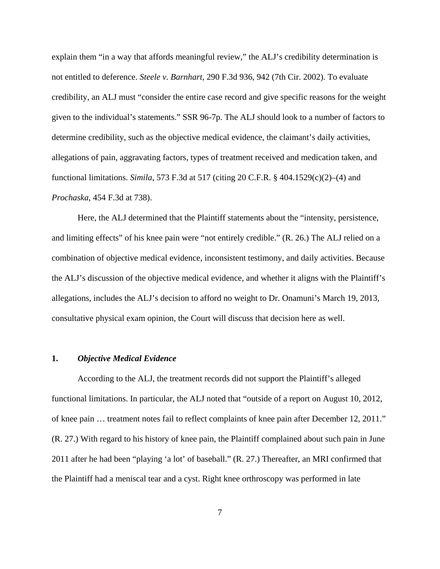explain them "in a way that affords meaningful review," the ALJ's credibility determination is not entitled to deference. *Steele v. Barnhart*, 290 F.3d 936, 942 (7th Cir. 2002). To evaluate credibility, an ALJ must "consider the entire case record and give specific reasons for the weight given to the individual's statements." SSR 96-7p. The ALJ should look to a number of factors to determine credibility, such as the objective medical evidence, the claimant's daily activities, allegations of pain, aggravating factors, types of treatment received and medication taken, and functional limitations. *Simila*, 573 F.3d at 517 (citing 20 C.F.R. § 404.1529(c)(2)–(4) and *Prochaska*, 454 F.3d at 738).

Here, the ALJ determined that the Plaintiff statements about the "intensity, persistence, and limiting effects" of his knee pain were "not entirely credible." (R. 26.) The ALJ relied on a combination of objective medical evidence, inconsistent testimony, and daily activities. Because the ALJ's discussion of the objective medical evidence, and whether it aligns with the Plaintiff's allegations, includes the ALJ's decision to afford no weight to Dr. Onamuni's March 19, 2013, consultative physical exam opinion, the Court will discuss that decision here as well.

#### **1.** *Objective Medical Evidence*

According to the ALJ, the treatment records did not support the Plaintiff's alleged functional limitations. In particular, the ALJ noted that "outside of a report on August 10, 2012, of knee pain … treatment notes fail to reflect complaints of knee pain after December 12, 2011." (R. 27.) With regard to his history of knee pain, the Plaintiff complained about such pain in June 2011 after he had been "playing 'a lot' of baseball." (R. 27.) Thereafter, an MRI confirmed that the Plaintiff had a meniscal tear and a cyst. Right knee orthroscopy was performed in late

7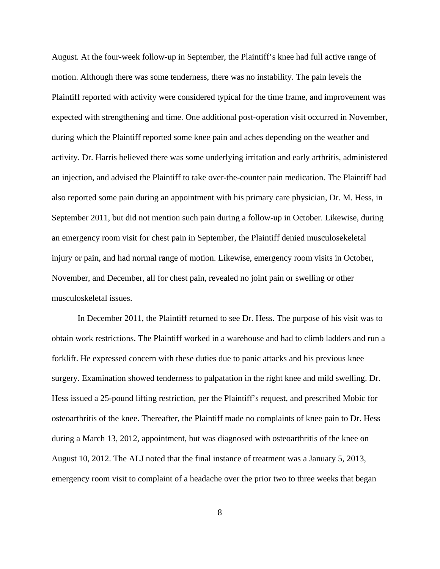August. At the four-week follow-up in September, the Plaintiff's knee had full active range of motion. Although there was some tenderness, there was no instability. The pain levels the Plaintiff reported with activity were considered typical for the time frame, and improvement was expected with strengthening and time. One additional post-operation visit occurred in November, during which the Plaintiff reported some knee pain and aches depending on the weather and activity. Dr. Harris believed there was some underlying irritation and early arthritis, administered an injection, and advised the Plaintiff to take over-the-counter pain medication. The Plaintiff had also reported some pain during an appointment with his primary care physician, Dr. M. Hess, in September 2011, but did not mention such pain during a follow-up in October. Likewise, during an emergency room visit for chest pain in September, the Plaintiff denied musculosekeletal injury or pain, and had normal range of motion. Likewise, emergency room visits in October, November, and December, all for chest pain, revealed no joint pain or swelling or other musculoskeletal issues.

In December 2011, the Plaintiff returned to see Dr. Hess. The purpose of his visit was to obtain work restrictions. The Plaintiff worked in a warehouse and had to climb ladders and run a forklift. He expressed concern with these duties due to panic attacks and his previous knee surgery. Examination showed tenderness to palpatation in the right knee and mild swelling. Dr. Hess issued a 25-pound lifting restriction, per the Plaintiff's request, and prescribed Mobic for osteoarthritis of the knee. Thereafter, the Plaintiff made no complaints of knee pain to Dr. Hess during a March 13, 2012, appointment, but was diagnosed with osteoarthritis of the knee on August 10, 2012. The ALJ noted that the final instance of treatment was a January 5, 2013, emergency room visit to complaint of a headache over the prior two to three weeks that began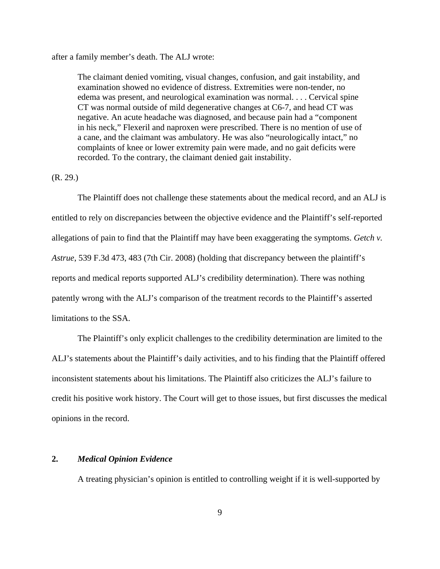after a family member's death. The ALJ wrote:

The claimant denied vomiting, visual changes, confusion, and gait instability, and examination showed no evidence of distress. Extremities were non-tender, no edema was present, and neurological examination was normal. . . . Cervical spine CT was normal outside of mild degenerative changes at C6-7, and head CT was negative. An acute headache was diagnosed, and because pain had a "component in his neck," Flexeril and naproxen were prescribed. There is no mention of use of a cane, and the claimant was ambulatory. He was also "neurologically intact," no complaints of knee or lower extremity pain were made, and no gait deficits were recorded. To the contrary, the claimant denied gait instability.

## (R. 29.)

The Plaintiff does not challenge these statements about the medical record, and an ALJ is entitled to rely on discrepancies between the objective evidence and the Plaintiff's self-reported allegations of pain to find that the Plaintiff may have been exaggerating the symptoms. *Getch v. Astrue*, 539 F.3d 473, 483 (7th Cir. 2008) (holding that discrepancy between the plaintiff's reports and medical reports supported ALJ's credibility determination). There was nothing patently wrong with the ALJ's comparison of the treatment records to the Plaintiff's asserted limitations to the SSA.

The Plaintiff's only explicit challenges to the credibility determination are limited to the ALJ's statements about the Plaintiff's daily activities, and to his finding that the Plaintiff offered inconsistent statements about his limitations. The Plaintiff also criticizes the ALJ's failure to credit his positive work history. The Court will get to those issues, but first discusses the medical opinions in the record.

# **2.** *Medical Opinion Evidence*

A treating physician's opinion is entitled to controlling weight if it is well-supported by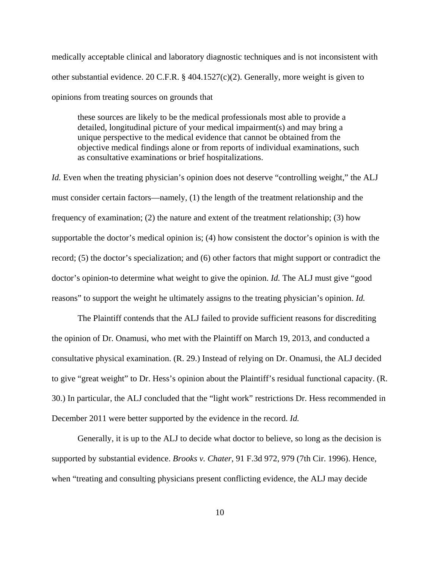medically acceptable clinical and laboratory diagnostic techniques and is not inconsistent with other substantial evidence. 20 C.F.R. § 404.1527(c)(2). Generally, more weight is given to opinions from treating sources on grounds that

these sources are likely to be the medical professionals most able to provide a detailed, longitudinal picture of your medical impairment(s) and may bring a unique perspective to the medical evidence that cannot be obtained from the objective medical findings alone or from reports of individual examinations, such as consultative examinations or brief hospitalizations.

*Id.* Even when the treating physician's opinion does not deserve "controlling weight," the ALJ must consider certain factors—namely, (1) the length of the treatment relationship and the frequency of examination; (2) the nature and extent of the treatment relationship; (3) how supportable the doctor's medical opinion is; (4) how consistent the doctor's opinion is with the record; (5) the doctor's specialization; and (6) other factors that might support or contradict the doctor's opinion-to determine what weight to give the opinion. *Id.* The ALJ must give "good reasons" to support the weight he ultimately assigns to the treating physician's opinion. *Id.*

The Plaintiff contends that the ALJ failed to provide sufficient reasons for discrediting the opinion of Dr. Onamusi, who met with the Plaintiff on March 19, 2013, and conducted a consultative physical examination. (R. 29.) Instead of relying on Dr. Onamusi, the ALJ decided to give "great weight" to Dr. Hess's opinion about the Plaintiff's residual functional capacity. (R. 30.) In particular, the ALJ concluded that the "light work" restrictions Dr. Hess recommended in December 2011 were better supported by the evidence in the record. *Id.* 

Generally, it is up to the ALJ to decide what doctor to believe, so long as the decision is supported by substantial evidence. *Brooks v. Chater*, 91 F.3d 972, 979 (7th Cir. 1996). Hence, when "treating and consulting physicians present conflicting evidence, the ALJ may decide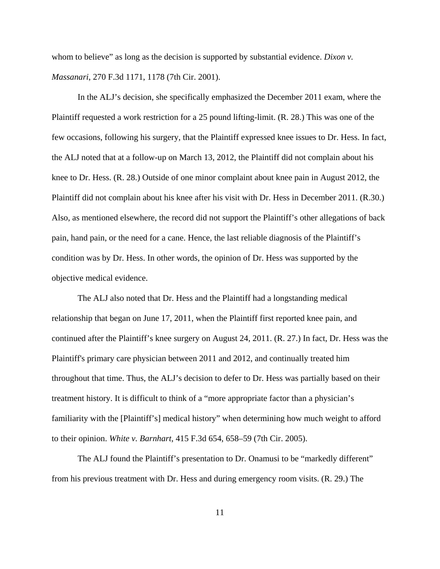whom to believe" as long as the decision is supported by substantial evidence. *Dixon v. Massanari*, 270 F.3d 1171, 1178 (7th Cir. 2001).

In the ALJ's decision, she specifically emphasized the December 2011 exam, where the Plaintiff requested a work restriction for a 25 pound lifting-limit. (R. 28.) This was one of the few occasions, following his surgery, that the Plaintiff expressed knee issues to Dr. Hess. In fact, the ALJ noted that at a follow-up on March 13, 2012, the Plaintiff did not complain about his knee to Dr. Hess. (R. 28.) Outside of one minor complaint about knee pain in August 2012, the Plaintiff did not complain about his knee after his visit with Dr. Hess in December 2011. (R.30.) Also, as mentioned elsewhere, the record did not support the Plaintiff's other allegations of back pain, hand pain, or the need for a cane. Hence, the last reliable diagnosis of the Plaintiff's condition was by Dr. Hess. In other words, the opinion of Dr. Hess was supported by the objective medical evidence.

The ALJ also noted that Dr. Hess and the Plaintiff had a longstanding medical relationship that began on June 17, 2011, when the Plaintiff first reported knee pain, and continued after the Plaintiff's knee surgery on August 24, 2011. (R. 27.) In fact, Dr. Hess was the Plaintiff's primary care physician between 2011 and 2012, and continually treated him throughout that time. Thus, the ALJ's decision to defer to Dr. Hess was partially based on their treatment history. It is difficult to think of a "more appropriate factor than a physician's familiarity with the [Plaintiff's] medical history" when determining how much weight to afford to their opinion. *White v. Barnhart*, 415 F.3d 654, 658–59 (7th Cir. 2005).

The ALJ found the Plaintiff's presentation to Dr. Onamusi to be "markedly different" from his previous treatment with Dr. Hess and during emergency room visits. (R. 29.) The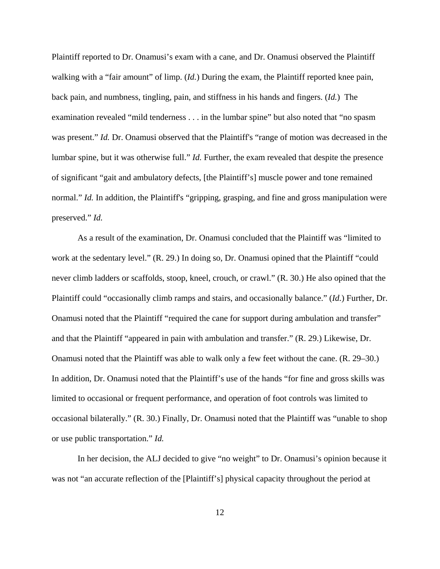Plaintiff reported to Dr. Onamusi's exam with a cane, and Dr. Onamusi observed the Plaintiff walking with a "fair amount" of limp. (*Id.*) During the exam, the Plaintiff reported knee pain, back pain, and numbness, tingling, pain, and stiffness in his hands and fingers. (*Id.*) The examination revealed "mild tenderness . . . in the lumbar spine" but also noted that "no spasm was present." *Id.* Dr. Onamusi observed that the Plaintiff's "range of motion was decreased in the lumbar spine, but it was otherwise full." *Id.* Further, the exam revealed that despite the presence of significant "gait and ambulatory defects, [the Plaintiff's] muscle power and tone remained normal." *Id.* In addition, the Plaintiff's "gripping, grasping, and fine and gross manipulation were preserved." *Id.*

As a result of the examination, Dr. Onamusi concluded that the Plaintiff was "limited to work at the sedentary level." (R. 29.) In doing so, Dr. Onamusi opined that the Plaintiff "could never climb ladders or scaffolds, stoop, kneel, crouch, or crawl." (R. 30.) He also opined that the Plaintiff could "occasionally climb ramps and stairs, and occasionally balance." (*Id.*) Further, Dr. Onamusi noted that the Plaintiff "required the cane for support during ambulation and transfer" and that the Plaintiff "appeared in pain with ambulation and transfer." (R. 29.) Likewise, Dr. Onamusi noted that the Plaintiff was able to walk only a few feet without the cane. (R. 29–30.) In addition, Dr. Onamusi noted that the Plaintiff's use of the hands "for fine and gross skills was limited to occasional or frequent performance, and operation of foot controls was limited to occasional bilaterally." (R. 30.) Finally, Dr. Onamusi noted that the Plaintiff was "unable to shop or use public transportation." *Id.*

In her decision, the ALJ decided to give "no weight" to Dr. Onamusi's opinion because it was not "an accurate reflection of the [Plaintiff's] physical capacity throughout the period at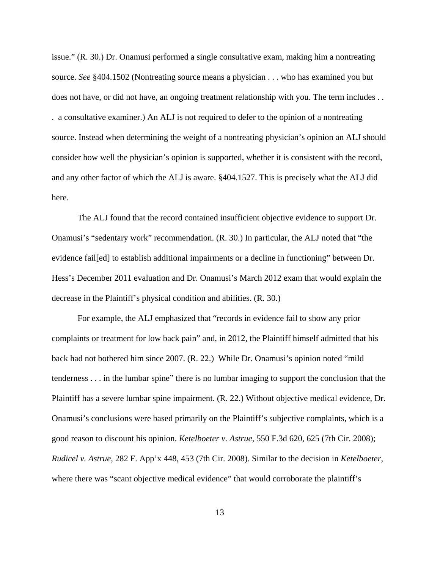issue." (R. 30.) Dr. Onamusi performed a single consultative exam, making him a nontreating source. *See* §404.1502 (Nontreating source means a physician . . . who has examined you but does not have, or did not have, an ongoing treatment relationship with you. The term includes . . . a consultative examiner.) An ALJ is not required to defer to the opinion of a nontreating source. Instead when determining the weight of a nontreating physician's opinion an ALJ should consider how well the physician's opinion is supported, whether it is consistent with the record, and any other factor of which the ALJ is aware. §404.1527. This is precisely what the ALJ did here.

The ALJ found that the record contained insufficient objective evidence to support Dr. Onamusi's "sedentary work" recommendation. (R. 30.) In particular, the ALJ noted that "the evidence fail[ed] to establish additional impairments or a decline in functioning" between Dr. Hess's December 2011 evaluation and Dr. Onamusi's March 2012 exam that would explain the decrease in the Plaintiff's physical condition and abilities. (R. 30.)

For example, the ALJ emphasized that "records in evidence fail to show any prior complaints or treatment for low back pain" and, in 2012, the Plaintiff himself admitted that his back had not bothered him since 2007. (R. 22.) While Dr. Onamusi's opinion noted "mild tenderness . . . in the lumbar spine" there is no lumbar imaging to support the conclusion that the Plaintiff has a severe lumbar spine impairment. (R. 22.) Without objective medical evidence, Dr. Onamusi's conclusions were based primarily on the Plaintiff's subjective complaints, which is a good reason to discount his opinion. *Ketelboeter v. Astrue*, 550 F.3d 620, 625 (7th Cir. 2008); *Rudicel v. Astrue*, 282 F. App'x 448, 453 (7th Cir. 2008). Similar to the decision in *Ketelboeter*, where there was "scant objective medical evidence" that would corroborate the plaintiff's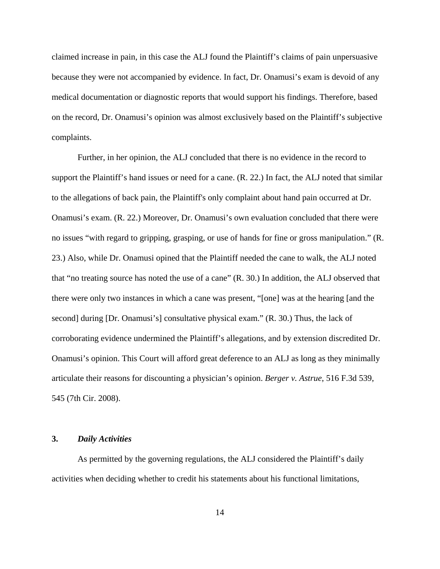claimed increase in pain, in this case the ALJ found the Plaintiff's claims of pain unpersuasive because they were not accompanied by evidence. In fact, Dr. Onamusi's exam is devoid of any medical documentation or diagnostic reports that would support his findings. Therefore, based on the record, Dr. Onamusi's opinion was almost exclusively based on the Plaintiff's subjective complaints.

Further, in her opinion, the ALJ concluded that there is no evidence in the record to support the Plaintiff's hand issues or need for a cane. (R. 22.) In fact, the ALJ noted that similar to the allegations of back pain, the Plaintiff's only complaint about hand pain occurred at Dr. Onamusi's exam. (R. 22.) Moreover, Dr. Onamusi's own evaluation concluded that there were no issues "with regard to gripping, grasping, or use of hands for fine or gross manipulation." (R. 23.) Also, while Dr. Onamusi opined that the Plaintiff needed the cane to walk, the ALJ noted that "no treating source has noted the use of a cane" (R. 30.) In addition, the ALJ observed that there were only two instances in which a cane was present, "[one] was at the hearing [and the second] during [Dr. Onamusi's] consultative physical exam." (R. 30.) Thus, the lack of corroborating evidence undermined the Plaintiff's allegations, and by extension discredited Dr. Onamusi's opinion. This Court will afford great deference to an ALJ as long as they minimally articulate their reasons for discounting a physician's opinion. *Berger v. Astrue*, 516 F.3d 539, 545 (7th Cir. 2008).

# **3.** *Daily Activities*

As permitted by the governing regulations, the ALJ considered the Plaintiff's daily activities when deciding whether to credit his statements about his functional limitations,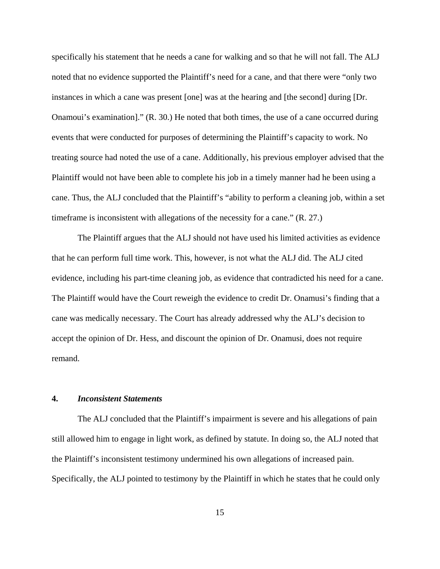specifically his statement that he needs a cane for walking and so that he will not fall. The ALJ noted that no evidence supported the Plaintiff's need for a cane, and that there were "only two instances in which a cane was present [one] was at the hearing and [the second] during [Dr. Onamoui's examination]." (R. 30.) He noted that both times, the use of a cane occurred during events that were conducted for purposes of determining the Plaintiff's capacity to work. No treating source had noted the use of a cane. Additionally, his previous employer advised that the Plaintiff would not have been able to complete his job in a timely manner had he been using a cane. Thus, the ALJ concluded that the Plaintiff's "ability to perform a cleaning job, within a set timeframe is inconsistent with allegations of the necessity for a cane." (R. 27.)

The Plaintiff argues that the ALJ should not have used his limited activities as evidence that he can perform full time work. This, however, is not what the ALJ did. The ALJ cited evidence, including his part-time cleaning job, as evidence that contradicted his need for a cane. The Plaintiff would have the Court reweigh the evidence to credit Dr. Onamusi's finding that a cane was medically necessary. The Court has already addressed why the ALJ's decision to accept the opinion of Dr. Hess, and discount the opinion of Dr. Onamusi, does not require remand.

## **4.** *Inconsistent Statements*

The ALJ concluded that the Plaintiff's impairment is severe and his allegations of pain still allowed him to engage in light work, as defined by statute. In doing so, the ALJ noted that the Plaintiff's inconsistent testimony undermined his own allegations of increased pain. Specifically, the ALJ pointed to testimony by the Plaintiff in which he states that he could only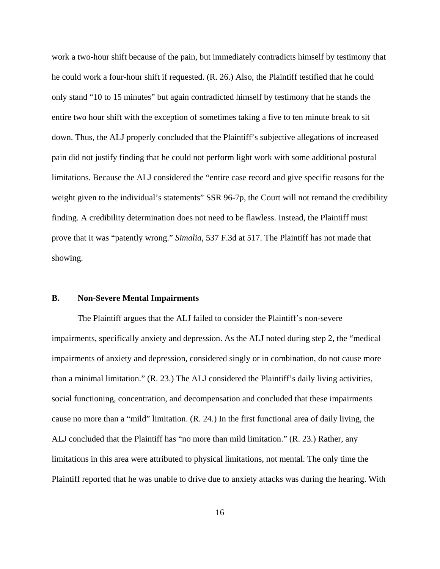work a two-hour shift because of the pain, but immediately contradicts himself by testimony that he could work a four-hour shift if requested. (R. 26.) Also, the Plaintiff testified that he could only stand "10 to 15 minutes" but again contradicted himself by testimony that he stands the entire two hour shift with the exception of sometimes taking a five to ten minute break to sit down. Thus, the ALJ properly concluded that the Plaintiff's subjective allegations of increased pain did not justify finding that he could not perform light work with some additional postural limitations. Because the ALJ considered the "entire case record and give specific reasons for the weight given to the individual's statements" SSR 96-7p, the Court will not remand the credibility finding. A credibility determination does not need to be flawless. Instead, the Plaintiff must prove that it was "patently wrong." *Simalia*, 537 F.3d at 517. The Plaintiff has not made that showing.

## **B. Non-Severe Mental Impairments**

The Plaintiff argues that the ALJ failed to consider the Plaintiff's non-severe impairments, specifically anxiety and depression. As the ALJ noted during step 2, the "medical impairments of anxiety and depression, considered singly or in combination, do not cause more than a minimal limitation." (R. 23.) The ALJ considered the Plaintiff's daily living activities, social functioning, concentration, and decompensation and concluded that these impairments cause no more than a "mild" limitation. (R. 24.) In the first functional area of daily living, the ALJ concluded that the Plaintiff has "no more than mild limitation." (R. 23.) Rather, any limitations in this area were attributed to physical limitations, not mental. The only time the Plaintiff reported that he was unable to drive due to anxiety attacks was during the hearing. With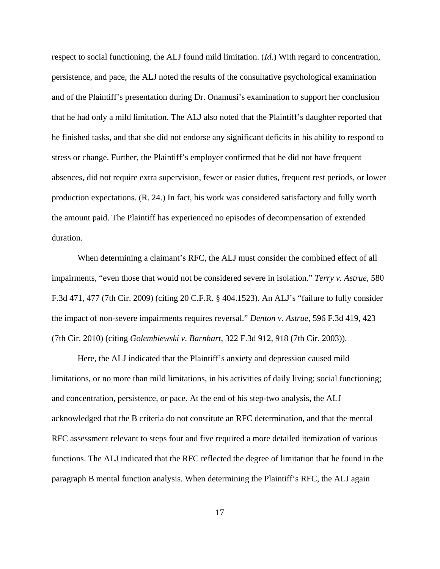respect to social functioning, the ALJ found mild limitation. (*Id.*) With regard to concentration, persistence, and pace, the ALJ noted the results of the consultative psychological examination and of the Plaintiff's presentation during Dr. Onamusi's examination to support her conclusion that he had only a mild limitation. The ALJ also noted that the Plaintiff's daughter reported that he finished tasks, and that she did not endorse any significant deficits in his ability to respond to stress or change. Further, the Plaintiff's employer confirmed that he did not have frequent absences, did not require extra supervision, fewer or easier duties, frequent rest periods, or lower production expectations. (R. 24.) In fact, his work was considered satisfactory and fully worth the amount paid. The Plaintiff has experienced no episodes of decompensation of extended duration.

When determining a claimant's RFC, the ALJ must consider the combined effect of all impairments, "even those that would not be considered severe in isolation." *Terry v. Astrue*, 580 F.3d 471, 477 (7th Cir. 2009) (citing 20 C.F.R. § 404.1523). An ALJ's "failure to fully consider the impact of non-severe impairments requires reversal." *Denton v. Astrue*, 596 F.3d 419, 423 (7th Cir. 2010) (citing *Golembiewski v. Barnhart*, 322 F.3d 912, 918 (7th Cir. 2003)).

Here, the ALJ indicated that the Plaintiff's anxiety and depression caused mild limitations, or no more than mild limitations, in his activities of daily living; social functioning; and concentration, persistence, or pace. At the end of his step-two analysis, the ALJ acknowledged that the B criteria do not constitute an RFC determination, and that the mental RFC assessment relevant to steps four and five required a more detailed itemization of various functions. The ALJ indicated that the RFC reflected the degree of limitation that he found in the paragraph B mental function analysis. When determining the Plaintiff's RFC, the ALJ again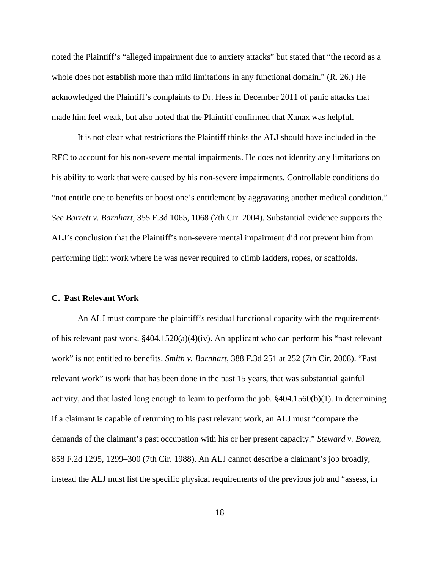noted the Plaintiff's "alleged impairment due to anxiety attacks" but stated that "the record as a whole does not establish more than mild limitations in any functional domain." (R. 26.) He acknowledged the Plaintiff's complaints to Dr. Hess in December 2011 of panic attacks that made him feel weak, but also noted that the Plaintiff confirmed that Xanax was helpful.

It is not clear what restrictions the Plaintiff thinks the ALJ should have included in the RFC to account for his non-severe mental impairments. He does not identify any limitations on his ability to work that were caused by his non-severe impairments. Controllable conditions do "not entitle one to benefits or boost one's entitlement by aggravating another medical condition." *See Barrett v. Barnhart*, 355 F.3d 1065, 1068 (7th Cir. 2004). Substantial evidence supports the ALJ's conclusion that the Plaintiff's non-severe mental impairment did not prevent him from performing light work where he was never required to climb ladders, ropes, or scaffolds.

## **C. Past Relevant Work**

An ALJ must compare the plaintiff's residual functional capacity with the requirements of his relevant past work. §404.1520(a)(4)(iv). An applicant who can perform his "past relevant work" is not entitled to benefits. *Smith v. Barnhart*, 388 F.3d 251 at 252 (7th Cir. 2008). "Past relevant work" is work that has been done in the past 15 years, that was substantial gainful activity, and that lasted long enough to learn to perform the job. §404.1560(b)(1). In determining if a claimant is capable of returning to his past relevant work, an ALJ must "compare the demands of the claimant's past occupation with his or her present capacity." *Steward v. Bowen*, 858 F.2d 1295, 1299–300 (7th Cir. 1988). An ALJ cannot describe a claimant's job broadly, instead the ALJ must list the specific physical requirements of the previous job and "assess, in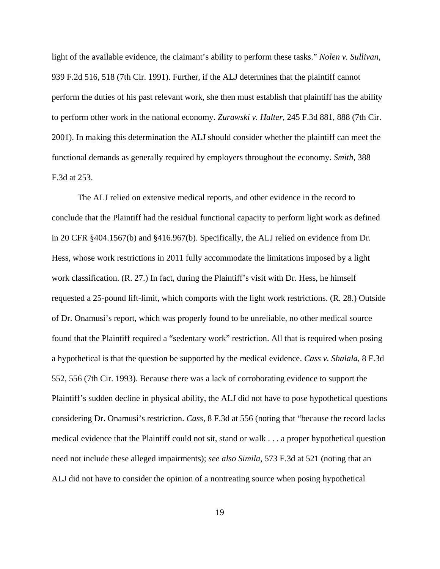light of the available evidence, the claimant's ability to perform these tasks." *Nolen v. Sullivan*, 939 F.2d 516, 518 (7th Cir. 1991). Further, if the ALJ determines that the plaintiff cannot perform the duties of his past relevant work, she then must establish that plaintiff has the ability to perform other work in the national economy. *Zurawski v. Halter*, 245 F.3d 881, 888 (7th Cir. 2001). In making this determination the ALJ should consider whether the plaintiff can meet the functional demands as generally required by employers throughout the economy. *Smith*, 388 F.3d at 253.

The ALJ relied on extensive medical reports, and other evidence in the record to conclude that the Plaintiff had the residual functional capacity to perform light work as defined in 20 CFR §404.1567(b) and §416.967(b). Specifically, the ALJ relied on evidence from Dr. Hess, whose work restrictions in 2011 fully accommodate the limitations imposed by a light work classification. (R. 27.) In fact, during the Plaintiff's visit with Dr. Hess, he himself requested a 25-pound lift-limit, which comports with the light work restrictions. (R. 28.) Outside of Dr. Onamusi's report, which was properly found to be unreliable, no other medical source found that the Plaintiff required a "sedentary work" restriction. All that is required when posing a hypothetical is that the question be supported by the medical evidence. *Cass v. Shalala*, 8 F.3d 552, 556 (7th Cir. 1993). Because there was a lack of corroborating evidence to support the Plaintiff's sudden decline in physical ability, the ALJ did not have to pose hypothetical questions considering Dr. Onamusi's restriction. *Cass*, 8 F.3d at 556 (noting that "because the record lacks medical evidence that the Plaintiff could not sit, stand or walk . . . a proper hypothetical question need not include these alleged impairments); *see also Simila*, 573 F.3d at 521 (noting that an ALJ did not have to consider the opinion of a nontreating source when posing hypothetical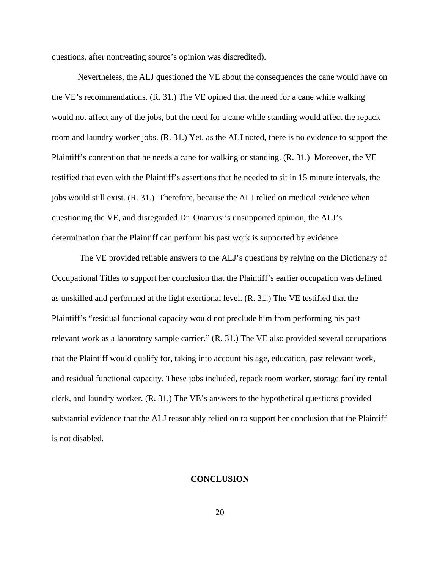questions, after nontreating source's opinion was discredited).

Nevertheless, the ALJ questioned the VE about the consequences the cane would have on the VE's recommendations. (R. 31.) The VE opined that the need for a cane while walking would not affect any of the jobs, but the need for a cane while standing would affect the repack room and laundry worker jobs. (R. 31.) Yet, as the ALJ noted, there is no evidence to support the Plaintiff's contention that he needs a cane for walking or standing. (R. 31.) Moreover, the VE testified that even with the Plaintiff's assertions that he needed to sit in 15 minute intervals, the jobs would still exist. (R. 31.) Therefore, because the ALJ relied on medical evidence when questioning the VE, and disregarded Dr. Onamusi's unsupported opinion, the ALJ's determination that the Plaintiff can perform his past work is supported by evidence.

 The VE provided reliable answers to the ALJ's questions by relying on the Dictionary of Occupational Titles to support her conclusion that the Plaintiff's earlier occupation was defined as unskilled and performed at the light exertional level. (R. 31.) The VE testified that the Plaintiff's "residual functional capacity would not preclude him from performing his past relevant work as a laboratory sample carrier." (R. 31.) The VE also provided several occupations that the Plaintiff would qualify for, taking into account his age, education, past relevant work, and residual functional capacity. These jobs included, repack room worker, storage facility rental clerk, and laundry worker. (R. 31.) The VE's answers to the hypothetical questions provided substantial evidence that the ALJ reasonably relied on to support her conclusion that the Plaintiff is not disabled.

### **CONCLUSION**

20